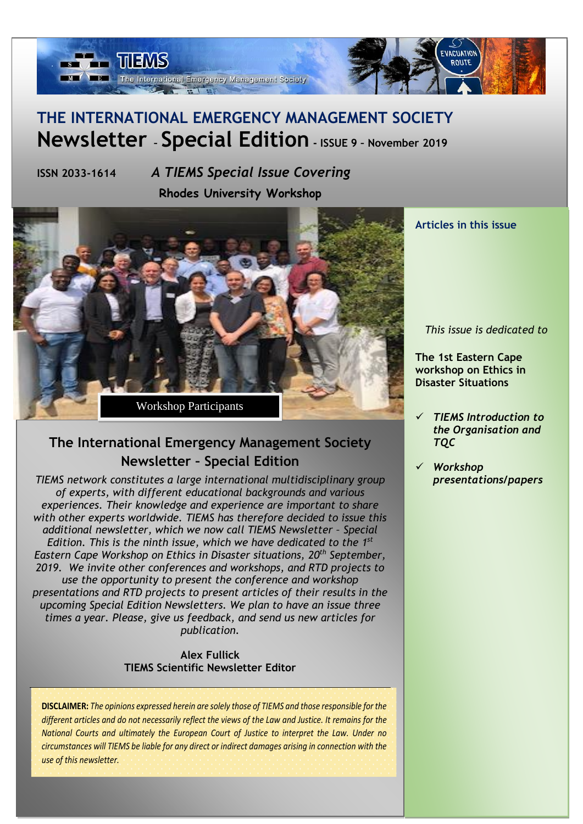

# **THE INTERNATIONAL EMERGENCY MANAGEMENT SOCIETY Newsletter – Special Edition - ISSUE 9 – November <sup>2019</sup>**

**ISSN 2033-1614** *A TIEMS Special Issue Covering*   **Rhodes University Workshop** 



## **The International Emergency Management Society Newsletter – Special Edition**

*TIEMS network constitutes a large international multidisciplinary group of experts, with different educational backgrounds and various experiences. Their knowledge and experience are important to share with other experts worldwide. TIEMS has therefore decided to issue this additional newsletter, which we now call TIEMS Newsletter – Special Edition. This is the ninth issue, which we have dedicated to the 1 st Eastern Cape Workshop on Ethics in Disaster situations, 20th September, 2019. We invite other conferences and workshops, and RTD projects to use the opportunity to present the conference and workshop presentations and RTD projects to present articles of their results in the upcoming Special Edition Newsletters. We plan to have an issue three times a year. Please, give us feedback, and send us new articles for publication.*

#### **Alex Fullick TIEMS Scientific Newsletter Editor**

**DISCLAIMER:** *The opinions expressed herein are solely those of TIEMS and those responsible for the different articles and do not necessarily reflect the views of the Law and Justice. It remains for the National Courts and ultimately the European Court of Justice to interpret the Law. Under no circumstances will TIEMS be liable for any direct or indirect damages arising in connection with the use of this newsletter.*

## **Articles in this issue**

#### *This issue is dedicated to*

**The 1st Eastern Cape workshop on Ethics in Disaster Situations**

- ✓ *TIEMS Introduction to the Organisation and TQC*
- ✓ *Workshop presentations/papers*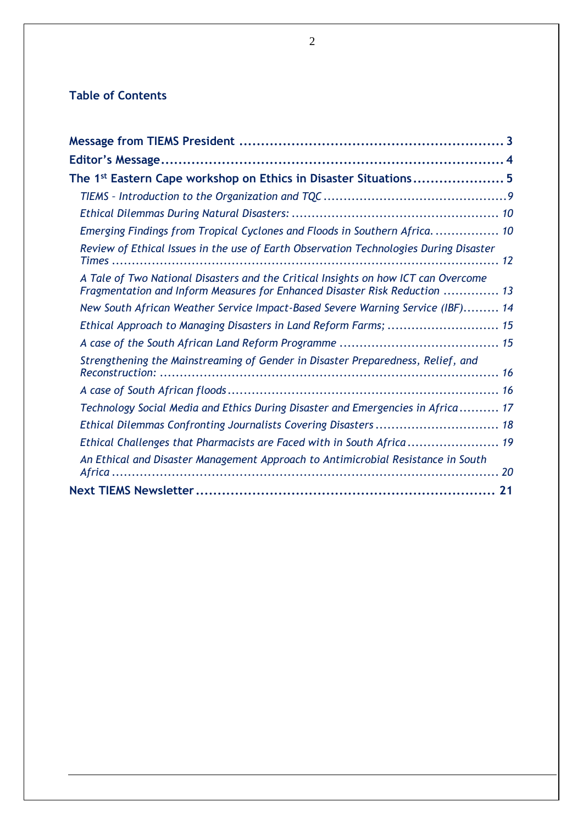## **Table of Contents**

| The 1 <sup>st</sup> Eastern Cape workshop on Ethics in Disaster Situations5                                                                                      |
|------------------------------------------------------------------------------------------------------------------------------------------------------------------|
|                                                                                                                                                                  |
|                                                                                                                                                                  |
| Emerging Findings from Tropical Cyclones and Floods in Southern Africa 10                                                                                        |
| Review of Ethical Issues in the use of Earth Observation Technologies During Disaster                                                                            |
| A Tale of Two National Disasters and the Critical Insights on how ICT can Overcome<br>Fragmentation and Inform Measures for Enhanced Disaster Risk Reduction  13 |
| New South African Weather Service Impact-Based Severe Warning Service (IBF) 14                                                                                   |
| Ethical Approach to Managing Disasters in Land Reform Farms;  15                                                                                                 |
|                                                                                                                                                                  |
| Strengthening the Mainstreaming of Gender in Disaster Preparedness, Relief, and                                                                                  |
|                                                                                                                                                                  |
| Technology Social Media and Ethics During Disaster and Emergencies in Africa 17                                                                                  |
| Ethical Dilemmas Confronting Journalists Covering Disasters  18                                                                                                  |
| Ethical Challenges that Pharmacists are Faced with in South Africa  19                                                                                           |
| An Ethical and Disaster Management Approach to Antimicrobial Resistance in South                                                                                 |
|                                                                                                                                                                  |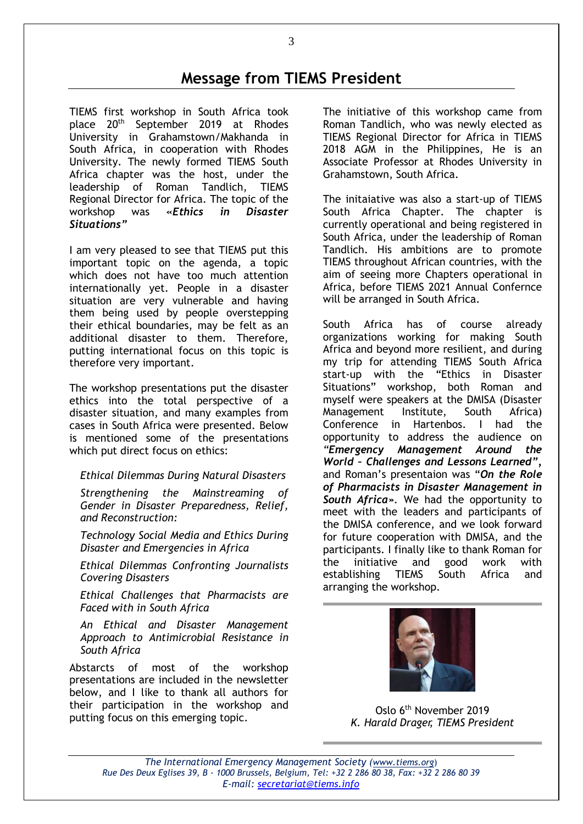## **Message from TIEMS President**

<span id="page-2-0"></span>TIEMS first workshop in South Africa took place 20th September 2019 at Rhodes University in Grahamstown/Makhanda in South Africa, in cooperation with Rhodes University. The newly formed TIEMS South Africa chapter was the host, under the leadership of Roman Tandlich, TIEMS Regional Director for Africa. The topic of the workshop was **«***Ethics in Disaster Situations"*

I am very pleased to see that TIEMS put this important topic on the agenda, a topic which does not have too much attention internationally yet. People in a disaster situation are very vulnerable and having them being used by people overstepping their ethical boundaries, may be felt as an additional disaster to them. Therefore, putting international focus on this topic is therefore very important.

The workshop presentations put the disaster ethics into the total perspective of a disaster situation, and many examples from cases in South Africa were presented. Below is mentioned some of the presentations which put direct focus on ethics:

#### *Ethical Dilemmas During Natural Disasters*

*Strengthening the Mainstreaming of Gender in Disaster Preparedness, Relief, and Reconstruction:*

*Technology Social Media and Ethics During Disaster and Emergencies in Africa*

*Ethical Dilemmas Confronting Journalists Covering Disasters*

*Ethical Challenges that Pharmacists are Faced with in South Africa*

*An Ethical and Disaster Management Approach to Antimicrobial Resistance in South Africa*

Abstarcts of most of the workshop presentations are included in the newsletter below, and I like to thank all authors for their participation in the workshop and putting focus on this emerging topic.

The initiative of this workshop came from Roman Tandlich, who was newly elected as TIEMS Regional Director for Africa in TIEMS 2018 AGM in the Philippines, He is an Associate Professor at Rhodes University in Grahamstown, South Africa.

The initaiative was also a start-up of TIEMS South Africa Chapter. The chapter is currently operational and being registered in South Africa, under the leadership of Roman Tandlich. His ambitions are to promote TIEMS throughout African countries, with the aim of seeing more Chapters operational in Africa, before TIEMS 2021 Annual Confernce will be arranged in South Africa.

South Africa has of course already organizations working for making South Africa and beyond more resilient, and during my trip for attending TIEMS South Africa start-up with the "Ethics in Disaster Situations" workshop, both Roman and myself were speakers at the DMISA (Disaster Management Institute, South Africa) Conference in Hartenbos. I had the opportunity to address the audience on *"Emergency Management Around the World – Challenges and Lessons Learned",*  and Roman's presentaion was "*On the Role of Pharmacists in Disaster Management in South Africa»*. We had the opportunity to meet with the leaders and participants of the DMISA conference, and we look forward for future cooperation with DMISA, and the participants. I finally like to thank Roman for the initiative and good work with establishing TIEMS South Africa and arranging the workshop.



Oslo 6<sup>th</sup> November 2019 *K. Harald Drager, TIEMS President*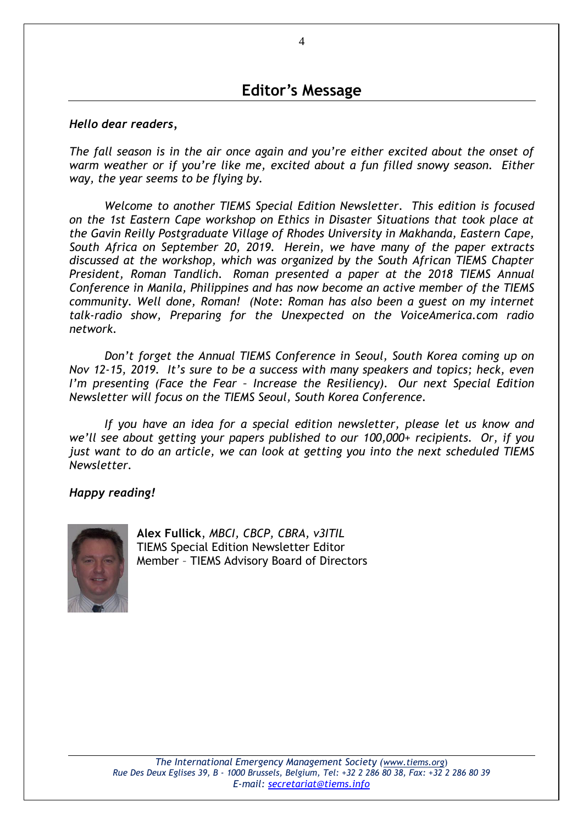## **Editor's Message**

#### <span id="page-3-0"></span>*Hello dear readers,*

*The fall season is in the air once again and you're either excited about the onset of warm weather or if you're like me, excited about a fun filled snowy season. Either way, the year seems to be flying by.* 

*Welcome to another TIEMS Special Edition Newsletter. This edition is focused on the 1st Eastern Cape workshop on Ethics in Disaster Situations that took place at the Gavin Reilly Postgraduate Village of Rhodes University in Makhanda, Eastern Cape, South Africa on September 20, 2019. Herein, we have many of the paper extracts discussed at the workshop, which was organized by the South African TIEMS Chapter President, Roman Tandlich. Roman presented a paper at the 2018 TIEMS Annual Conference in Manila, Philippines and has now become an active member of the TIEMS community. Well done, Roman! (Note: Roman has also been a guest on my internet talk-radio show, Preparing for the Unexpected on the VoiceAmerica.com radio network.*

*Don't forget the Annual TIEMS Conference in Seoul, South Korea coming up on Nov 12-15, 2019. It's sure to be a success with many speakers and topics; heck, even I'm presenting (Face the Fear – Increase the Resiliency). Our next Special Edition Newsletter will focus on the TIEMS Seoul, South Korea Conference.* 

*If you have an idea for a special edition newsletter, please let us know and we'll see about getting your papers published to our 100,000+ recipients. Or, if you just want to do an article, we can look at getting you into the next scheduled TIEMS Newsletter.* 

## *Happy reading!*



**Alex Fullick**, *MBCI, CBCP, CBRA, v3ITIL* TIEMS Special Edition Newsletter Editor Member – TIEMS Advisory Board of Directors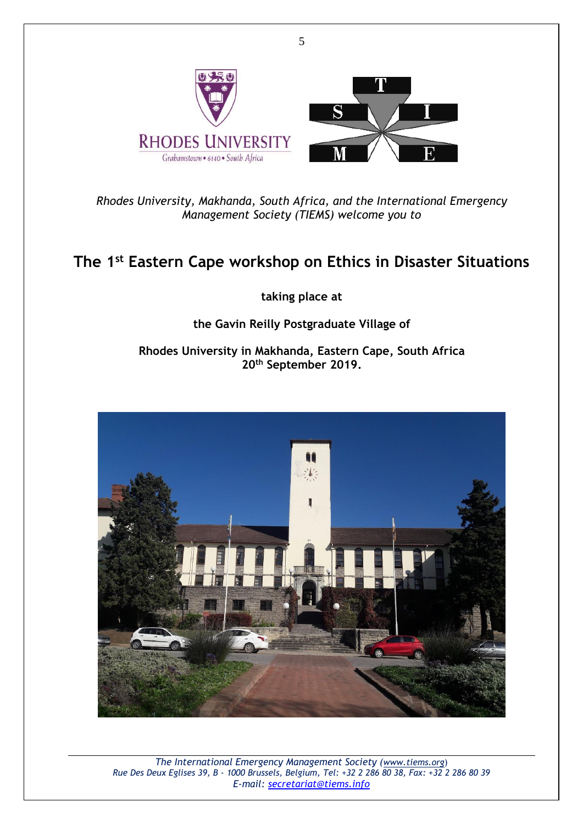

5

*Rhodes University, Makhanda, South Africa, and the International Emergency Management Society (TIEMS) welcome you to* 

# <span id="page-4-0"></span>**The 1st Eastern Cape workshop on Ethics in Disaster Situations**

**taking place at**

## **the Gavin Reilly Postgraduate Village of**

### **Rhodes University in Makhanda, Eastern Cape, South Africa 20th September 2019.**

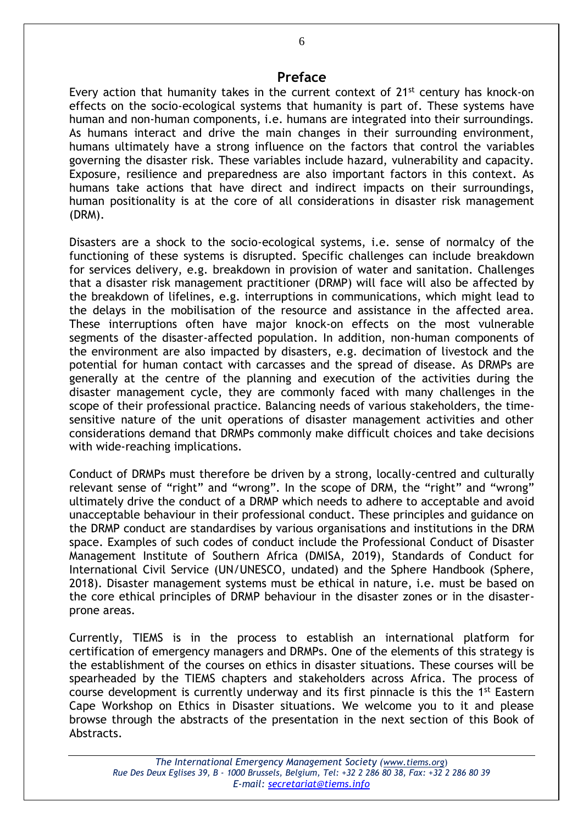## **Preface**

Every action that humanity takes in the current context of  $21^{st}$  century has knock-on effects on the socio-ecological systems that humanity is part of. These systems have human and non-human components, i.e. humans are integrated into their surroundings. As humans interact and drive the main changes in their surrounding environment, humans ultimately have a strong influence on the factors that control the variables governing the disaster risk. These variables include hazard, vulnerability and capacity. Exposure, resilience and preparedness are also important factors in this context. As humans take actions that have direct and indirect impacts on their surroundings, human positionality is at the core of all considerations in disaster risk management (DRM).

Disasters are a shock to the socio-ecological systems, i.e. sense of normalcy of the functioning of these systems is disrupted. Specific challenges can include breakdown for services delivery, e.g. breakdown in provision of water and sanitation. Challenges that a disaster risk management practitioner (DRMP) will face will also be affected by the breakdown of lifelines, e.g. interruptions in communications, which might lead to the delays in the mobilisation of the resource and assistance in the affected area. These interruptions often have major knock-on effects on the most vulnerable segments of the disaster-affected population. In addition, non-human components of the environment are also impacted by disasters, e.g. decimation of livestock and the potential for human contact with carcasses and the spread of disease. As DRMPs are generally at the centre of the planning and execution of the activities during the disaster management cycle, they are commonly faced with many challenges in the scope of their professional practice. Balancing needs of various stakeholders, the timesensitive nature of the unit operations of disaster management activities and other considerations demand that DRMPs commonly make difficult choices and take decisions with wide-reaching implications.

Conduct of DRMPs must therefore be driven by a strong, locally-centred and culturally relevant sense of "right" and "wrong". In the scope of DRM, the "right" and "wrong" ultimately drive the conduct of a DRMP which needs to adhere to acceptable and avoid unacceptable behaviour in their professional conduct. These principles and guidance on the DRMP conduct are standardises by various organisations and institutions in the DRM space. Examples of such codes of conduct include the Professional Conduct of Disaster Management Institute of Southern Africa (DMISA, 2019), Standards of Conduct for International Civil Service (UN/UNESCO, undated) and the Sphere Handbook (Sphere, 2018). Disaster management systems must be ethical in nature, i.e. must be based on the core ethical principles of DRMP behaviour in the disaster zones or in the disasterprone areas.

Currently, TIEMS is in the process to establish an international platform for certification of emergency managers and DRMPs. One of the elements of this strategy is the establishment of the courses on ethics in disaster situations. These courses will be spearheaded by the TIEMS chapters and stakeholders across Africa. The process of course development is currently underway and its first pinnacle is this the  $1^{st}$  Eastern Cape Workshop on Ethics in Disaster situations. We welcome you to it and please browse through the abstracts of the presentation in the next section of this Book of Abstracts.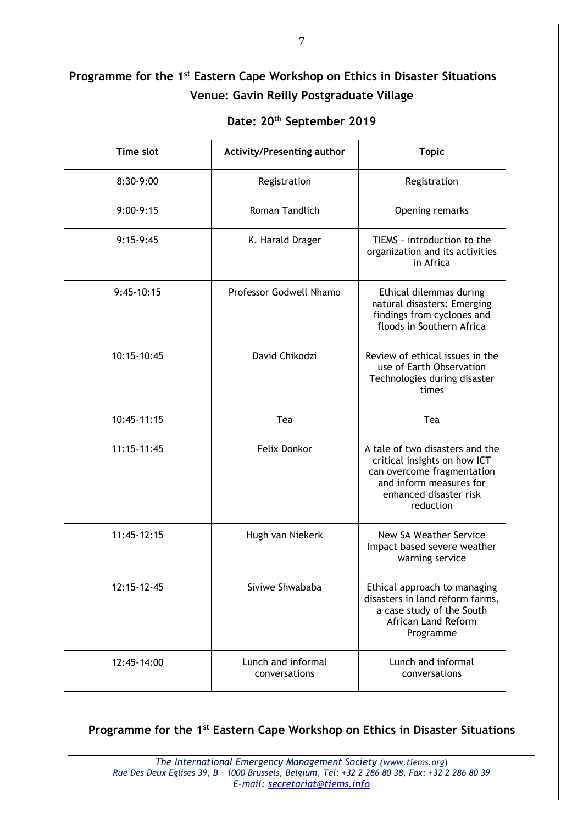## **Programme for the 1st Eastern Cape Workshop on Ethics in Disaster Situations Venue: Gavin Reilly Postgraduate Village**

## **Date: 20th September 2019**

| <b>Time slot</b> | Activity/Presenting author          | <b>Topic</b>                                                                                                                                                    |
|------------------|-------------------------------------|-----------------------------------------------------------------------------------------------------------------------------------------------------------------|
| 8:30-9:00        | Registration                        | Registration                                                                                                                                                    |
| $9:00-9:15$      | Roman Tandlich                      | Opening remarks                                                                                                                                                 |
| $9:15-9:45$      | K. Harald Drager                    | TIEMS - introduction to the<br>organization and its activities<br>in Africa                                                                                     |
| $9:45-10:15$     | Professor Godwell Nhamo             | Ethical dilemmas during<br>natural disasters: Emerging<br>findings from cyclones and<br>floods in Southern Africa                                               |
| 10:15-10:45      | David Chikodzi                      | Review of ethical issues in the<br>use of Earth Observation<br>Technologies during disaster<br>times                                                            |
| 10:45-11:15      | Tea                                 | Tea                                                                                                                                                             |
| $11:15 - 11:45$  | <b>Felix Donkor</b>                 | A tale of two disasters and the<br>critical insights on how ICT<br>can overcome fragmentation<br>and inform measures for<br>enhanced disaster risk<br>reduction |
| 11:45-12:15      | Hugh van Niekerk                    | <b>New SA Weather Service</b><br>Impact based severe weather<br>warning service                                                                                 |
| 12:15-12-45      | Siviwe Shwababa                     | Ethical approach to managing<br>disasters in land reform farms,<br>a case study of the South<br>African Land Reform<br>Programme                                |
| 12:45-14:00      | Lunch and informal<br>conversations | Lunch and informal<br>conversations                                                                                                                             |

**Programme for the 1st Eastern Cape Workshop on Ethics in Disaster Situations**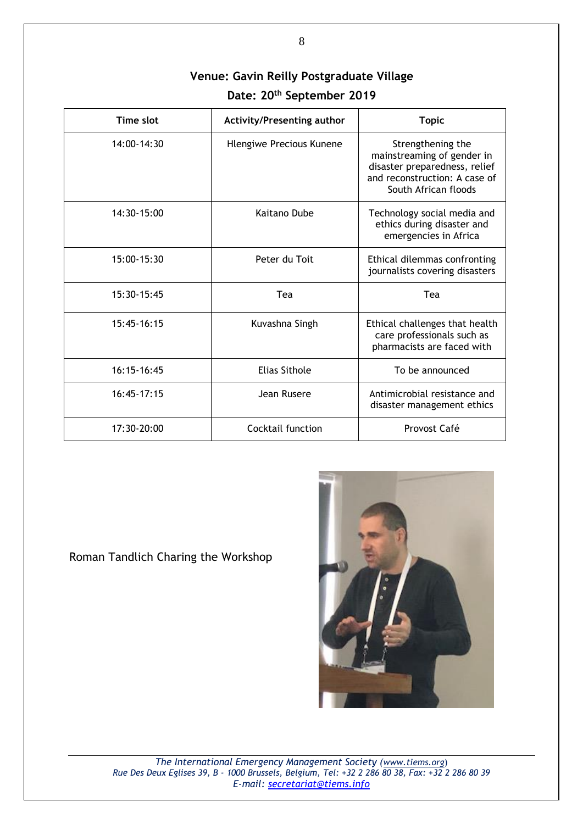## **Venue: Gavin Reilly Postgraduate Village Date: 20th September 2019**

| Time slot     | <b>Activity/Presenting author</b> | <b>Topic</b>                                                                                                                              |
|---------------|-----------------------------------|-------------------------------------------------------------------------------------------------------------------------------------------|
| $14:00-14:30$ | Hlengiwe Precious Kunene          | Strengthening the<br>mainstreaming of gender in<br>disaster preparedness, relief<br>and reconstruction: A case of<br>South African floods |
| 14:30-15:00   | Kaitano Dube                      | Technology social media and<br>ethics during disaster and<br>emergencies in Africa                                                        |
| 15:00-15:30   | Peter du Toit                     | Ethical dilemmas confronting<br>journalists covering disasters                                                                            |
| 15:30-15:45   | Tea                               | Tea                                                                                                                                       |
| $15:45-16:15$ | Kuvashna Singh                    | Ethical challenges that health<br>care professionals such as<br>pharmacists are faced with                                                |
| 16:15-16:45   | <b>Elias Sithole</b>              | To be announced                                                                                                                           |
| $16:45-17:15$ | Jean Rusere                       | Antimicrobial resistance and<br>disaster management ethics                                                                                |
| 17:30-20:00   | Cocktail function                 | Provost Café                                                                                                                              |

Roman Tandlich Charing the Workshop

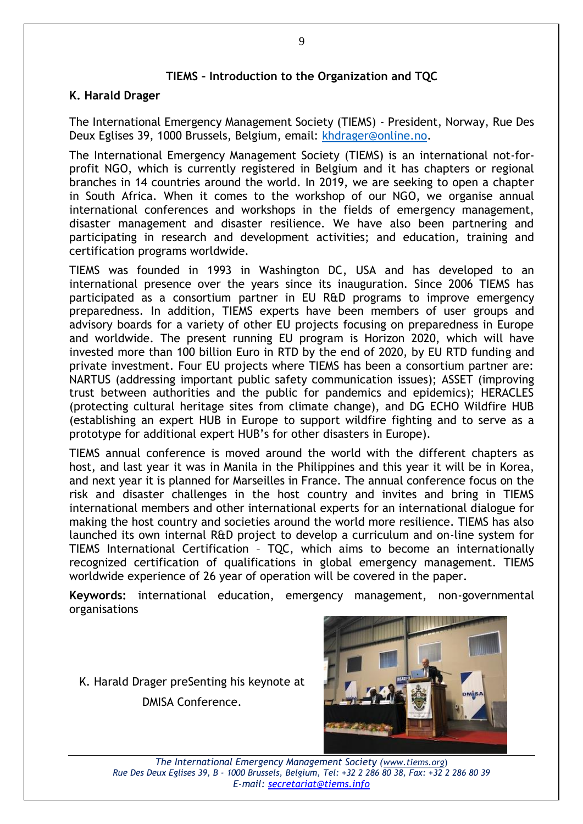### **TIEMS – Introduction to the Organization and TQC**

#### <span id="page-8-0"></span>**K. Harald Drager**

The International Emergency Management Society (TIEMS) - President, Norway, Rue Des Deux Eglises 39, 1000 Brussels, Belgium, email: [khdrager@online.no.](mailto:khdrager@online.no)

The International Emergency Management Society (TIEMS) is an international not-forprofit NGO, which is currently registered in Belgium and it has chapters or regional branches in 14 countries around the world. In 2019, we are seeking to open a chapter in South Africa. When it comes to the workshop of our NGO, we organise annual international conferences and workshops in the fields of emergency management, disaster management and disaster resilience. We have also been partnering and participating in research and development activities; and education, training and certification programs worldwide.

TIEMS was founded in 1993 in Washington DC, USA and has developed to an international presence over the years since its inauguration. Since 2006 TIEMS has participated as a consortium partner in EU R&D programs to improve emergency preparedness. In addition, TIEMS experts have been members of user groups and advisory boards for a variety of other EU projects focusing on preparedness in Europe and worldwide. The present running EU program is Horizon 2020, which will have invested more than 100 billion Euro in RTD by the end of 2020, by EU RTD funding and private investment. Four EU projects where TIEMS has been a consortium partner are: NARTUS (addressing important public safety communication issues); ASSET (improving trust between authorities and the public for pandemics and epidemics); HERACLES (protecting cultural heritage sites from climate change), and DG ECHO Wildfire HUB (establishing an expert HUB in Europe to support wildfire fighting and to serve as a prototype for additional expert HUB's for other disasters in Europe).

TIEMS annual conference is moved around the world with the different chapters as host, and last year it was in Manila in the Philippines and this year it will be in Korea, and next year it is planned for Marseilles in France. The annual conference focus on the risk and disaster challenges in the host country and invites and bring in TIEMS international members and other international experts for an international dialogue for making the host country and societies around the world more resilience. TIEMS has also launched its own internal R&D project to develop a curriculum and on-line system for TIEMS International Certification – TQC, which aims to become an internationally recognized certification of qualifications in global emergency management. TIEMS worldwide experience of 26 year of operation will be covered in the paper.

**Keywords:** international education, emergency management, non-governmental organisations

K. Harald Drager preSenting his keynote at

DMISA Conference.

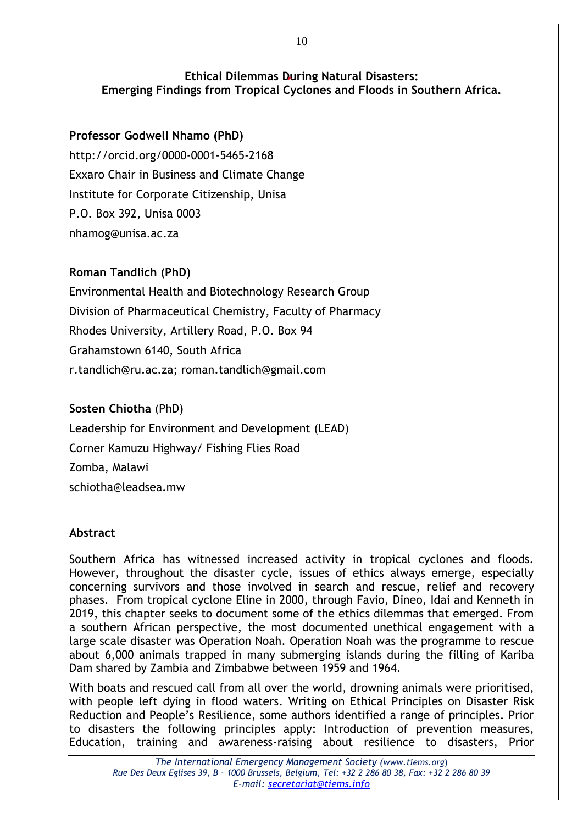## <span id="page-9-1"></span><span id="page-9-0"></span>**Ethical Dilemmas During Natural Disasters: Emerging Findings from Tropical Cyclones and Floods in Southern Africa.**

## **Professor Godwell Nhamo (PhD)**

http://orcid.org/0000-0001-5465-2168 Exxaro Chair in Business and Climate Change Institute for Corporate Citizenship, Unisa P.O. Box 392, Unisa 0003 nhamog@unisa.ac.za

## **Roman Tandlich (PhD)**

Environmental Health and Biotechnology Research Group Division of Pharmaceutical Chemistry, Faculty of Pharmacy Rhodes University, Artillery Road, P.O. Box 94 Grahamstown 6140, South Africa r.tandlich@ru.ac.za; roman.tandlich@gmail.com

## **Sosten Chiotha** (PhD)

Leadership for Environment and Development (LEAD) Corner Kamuzu Highway/ Fishing Flies Road Zomba, Malawi schiotha@leadsea.mw

## **Abstract**

Southern Africa has witnessed increased activity in tropical cyclones and floods. However, throughout the disaster cycle, issues of ethics always emerge, especially concerning survivors and those involved in search and rescue, relief and recovery phases. From tropical cyclone Eline in 2000, through Favio, Dineo, Idai and Kenneth in 2019, this chapter seeks to document some of the ethics dilemmas that emerged. From a southern African perspective, the most documented unethical engagement with a large scale disaster was Operation Noah. Operation Noah was the programme to rescue about 6,000 animals trapped in many submerging islands during the filling of Kariba Dam shared by Zambia and Zimbabwe between 1959 and 1964.

With boats and rescued call from all over the world, drowning animals were prioritised, with people left dying in flood waters. Writing on Ethical Principles on Disaster Risk Reduction and People's Resilience, some authors identified a range of principles. Prior to disasters the following principles apply: Introduction of prevention measures, Education, training and awareness-raising about resilience to disasters, Prior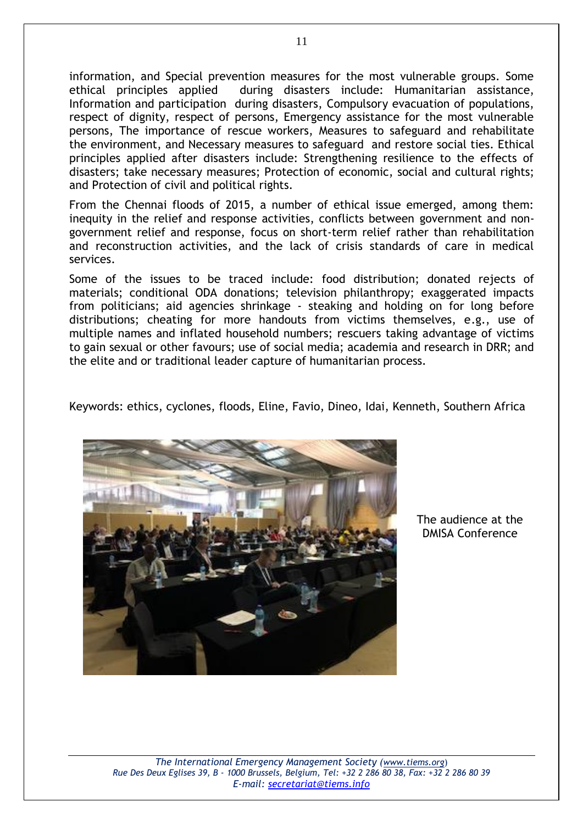information, and Special prevention measures for the most vulnerable groups. Some ethical principles applied during disasters include: Humanitarian assistance, Information and participation during disasters, Compulsory evacuation of populations, respect of dignity, respect of persons, Emergency assistance for the most vulnerable persons, The importance of rescue workers, Measures to safeguard and rehabilitate the environment, and Necessary measures to safeguard and restore social ties. Ethical principles applied after disasters include: Strengthening resilience to the effects of disasters; take necessary measures; Protection of economic, social and cultural rights; and Protection of civil and political rights.

From the Chennai floods of 2015, a number of ethical issue emerged, among them: inequity in the relief and response activities, conflicts between government and nongovernment relief and response, focus on short-term relief rather than rehabilitation and reconstruction activities, and the lack of crisis standards of care in medical services.

Some of the issues to be traced include: food distribution; donated rejects of materials; conditional ODA donations; television philanthropy; exaggerated impacts from politicians; aid agencies shrinkage - steaking and holding on for long before distributions; cheating for more handouts from victims themselves, e.g., use of multiple names and inflated household numbers; rescuers taking advantage of victims to gain sexual or other favours; use of social media; academia and research in DRR; and the elite and or traditional leader capture of humanitarian process.

Keywords: ethics, cyclones, floods, Eline, Favio, Dineo, Idai, Kenneth, Southern Africa



The audience at the DMISA Conference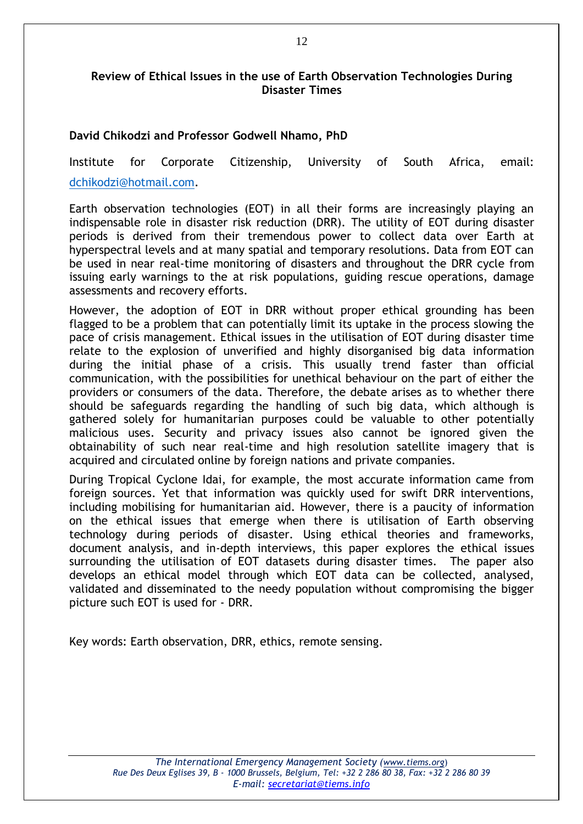#### <span id="page-11-0"></span>**Review of Ethical Issues in the use of Earth Observation Technologies During Disaster Times**

### **David Chikodzi and Professor Godwell Nhamo, PhD**

Institute for Corporate Citizenship, University of South Africa, email: [dchikodzi@hotmail.com.](mailto:dchikodzi@hotmail.com)

Earth observation technologies (EOT) in all their forms are increasingly playing an indispensable role in disaster risk reduction (DRR). The utility of EOT during disaster periods is derived from their tremendous power to collect data over Earth at hyperspectral levels and at many spatial and temporary resolutions. Data from EOT can be used in near real-time monitoring of disasters and throughout the DRR cycle from issuing early warnings to the at risk populations, guiding rescue operations, damage assessments and recovery efforts.

However, the adoption of EOT in DRR without proper ethical grounding has been flagged to be a problem that can potentially limit its uptake in the process slowing the pace of crisis management. Ethical issues in the utilisation of EOT during disaster time relate to the explosion of unverified and highly disorganised big data information during the initial phase of a crisis. This usually trend faster than official communication, with the possibilities for unethical behaviour on the part of either the providers or consumers of the data. Therefore, the debate arises as to whether there should be safeguards regarding the handling of such big data, which although is gathered solely for humanitarian purposes could be valuable to other potentially malicious uses. Security and privacy issues also cannot be ignored given the obtainability of such near real-time and high resolution satellite imagery that is acquired and circulated online by foreign nations and private companies.

During Tropical Cyclone Idai, for example, the most accurate information came from foreign sources. Yet that information was quickly used for swift DRR interventions, including mobilising for humanitarian aid. However, there is a paucity of information on the ethical issues that emerge when there is utilisation of Earth observing technology during periods of disaster. Using ethical theories and frameworks, document analysis, and in-depth interviews, this paper explores the ethical issues surrounding the utilisation of EOT datasets during disaster times. The paper also develops an ethical model through which EOT data can be collected, analysed, validated and disseminated to the needy population without compromising the bigger picture such EOT is used for - DRR.

Key words: Earth observation, DRR, ethics, remote sensing.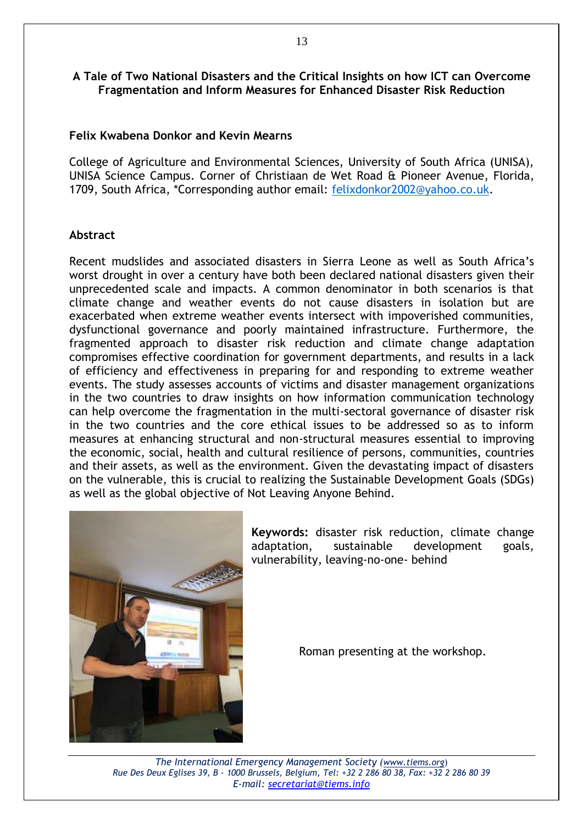#### <span id="page-12-0"></span>**A Tale of Two National Disasters and the Critical Insights on how ICT can Overcome Fragmentation and Inform Measures for Enhanced Disaster Risk Reduction**

#### **Felix Kwabena Donkor and Kevin Mearns**

College of Agriculture and Environmental Sciences, University of South Africa (UNISA), UNISA Science Campus. Corner of Christiaan de Wet Road & Pioneer Avenue, Florida, 1709, South Africa, \*Corresponding author email: [felixdonkor2002@yahoo.co.uk.](mailto:felixdonkor2002@yahoo.co.uk)

#### **Abstract**

Recent mudslides and associated disasters in Sierra Leone as well as South Africa's worst drought in over a century have both been declared national disasters given their unprecedented scale and impacts. A common denominator in both scenarios is that climate change and weather events do not cause disasters in isolation but are exacerbated when extreme weather events intersect with impoverished communities, dysfunctional governance and poorly maintained infrastructure. Furthermore, the fragmented approach to disaster risk reduction and climate change adaptation compromises effective coordination for government departments, and results in a lack of efficiency and effectiveness in preparing for and responding to extreme weather events. The study assesses accounts of victims and disaster management organizations in the two countries to draw insights on how information communication technology can help overcome the fragmentation in the multi-sectoral governance of disaster risk in the two countries and the core ethical issues to be addressed so as to inform measures at enhancing structural and non-structural measures essential to improving the economic, social, health and cultural resilience of persons, communities, countries and their assets, as well as the environment. Given the devastating impact of disasters on the vulnerable, this is crucial to realizing the Sustainable Development Goals (SDGs) as well as the global objective of Not Leaving Anyone Behind.



**Keywords:** disaster risk reduction, climate change adaptation, sustainable development goals, vulnerability, leaving-no-one- behind

Roman presenting at the workshop.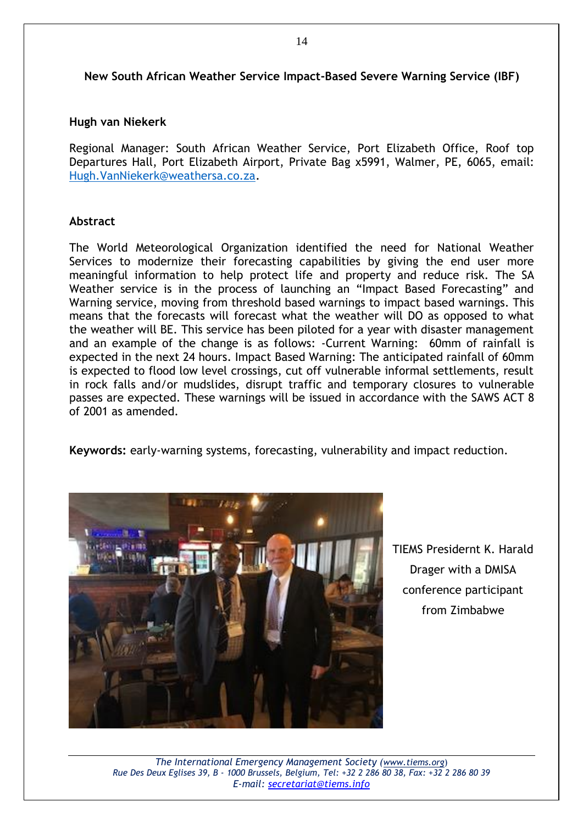## <span id="page-13-0"></span>**New South African Weather Service Impact-Based Severe Warning Service (IBF)**

#### **Hugh van Niekerk**

Regional Manager: South African Weather Service, Port Elizabeth Office, Roof top Departures Hall, Port Elizabeth Airport, Private Bag x5991, Walmer, PE, 6065, email: [Hugh.VanNiekerk@weathersa.co.za.](mailto:Hugh.VanNiekerk@weathersa.co.za)

#### **Abstract**

The World Meteorological Organization identified the need for National Weather Services to modernize their forecasting capabilities by giving the end user more meaningful information to help protect life and property and reduce risk. The SA Weather service is in the process of launching an "Impact Based Forecasting" and Warning service, moving from threshold based warnings to impact based warnings. This means that the forecasts will forecast what the weather will DO as opposed to what the weather will BE. This service has been piloted for a year with disaster management and an example of the change is as follows: -Current Warning: 60mm of rainfall is expected in the next 24 hours. Impact Based Warning: The anticipated rainfall of 60mm is expected to flood low level crossings, cut off vulnerable informal settlements, result in rock falls and/or mudslides, disrupt traffic and temporary closures to vulnerable passes are expected. These warnings will be issued in accordance with the SAWS ACT 8 of 2001 as amended.

**Keywords:** early-warning systems, forecasting, vulnerability and impact reduction.



TIEMS Presidernt K. Harald Drager with a DMISA conference participant from Zimbabwe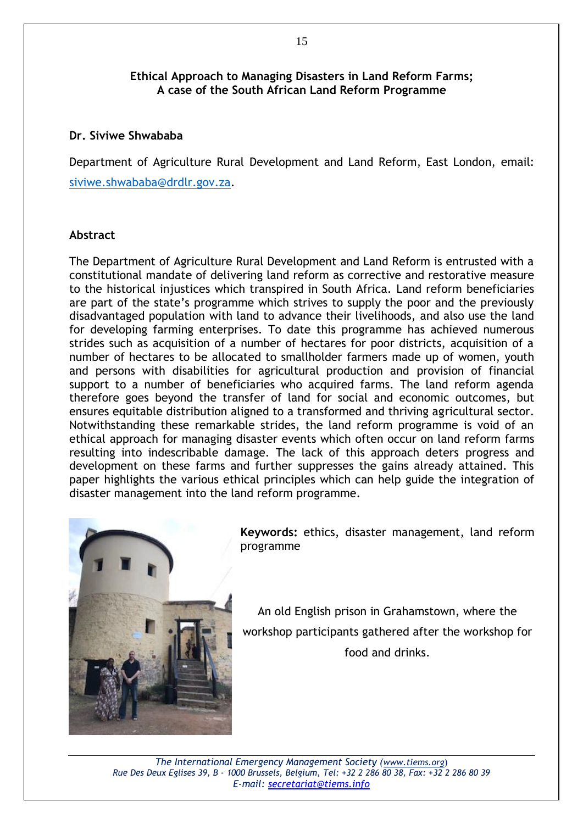#### **Ethical Approach to Managing Disasters in Land Reform Farms; A case of the South African Land Reform Programme**

#### <span id="page-14-1"></span><span id="page-14-0"></span>**Dr. Siviwe Shwababa**

Department of Agriculture Rural Development and Land Reform, East London, email: [siviwe.shwababa@drdlr.gov.za.](mailto:siviwe.shwababa@drdlr.gov.za)

### **Abstract**

The Department of Agriculture Rural Development and Land Reform is entrusted with a constitutional mandate of delivering land reform as corrective and restorative measure to the historical injustices which transpired in South Africa. Land reform beneficiaries are part of the state's programme which strives to supply the poor and the previously disadvantaged population with land to advance their livelihoods, and also use the land for developing farming enterprises. To date this programme has achieved numerous strides such as acquisition of a number of hectares for poor districts, acquisition of a number of hectares to be allocated to smallholder farmers made up of women, youth and persons with disabilities for agricultural production and provision of financial support to a number of beneficiaries who acquired farms. The land reform agenda therefore goes beyond the transfer of land for social and economic outcomes, but ensures equitable distribution aligned to a transformed and thriving agricultural sector. Notwithstanding these remarkable strides, the land reform programme is void of an ethical approach for managing disaster events which often occur on land reform farms resulting into indescribable damage. The lack of this approach deters progress and development on these farms and further suppresses the gains already attained. This paper highlights the various ethical principles which can help guide the integration of disaster management into the land reform programme.



**Keywords:** ethics, disaster management, land reform programme

An old English prison in Grahamstown, where the workshop participants gathered after the workshop for food and drinks.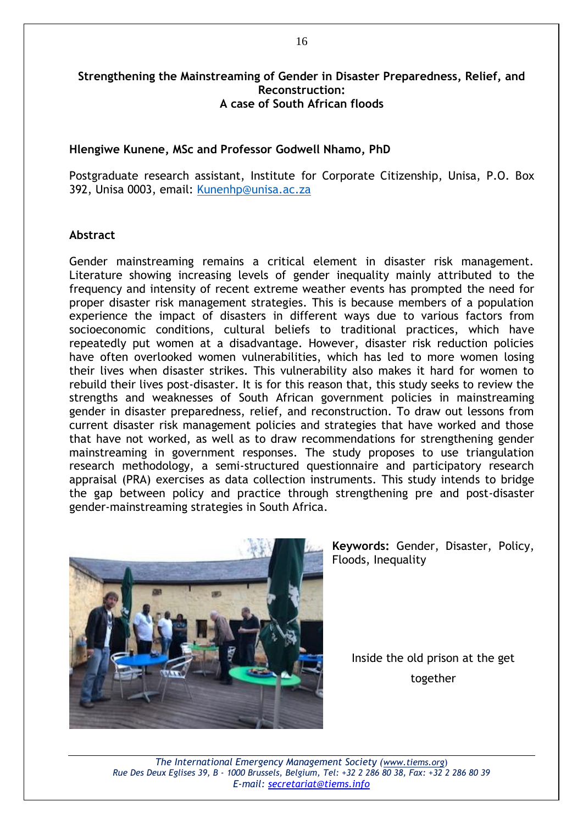#### <span id="page-15-1"></span><span id="page-15-0"></span>**Strengthening the Mainstreaming of Gender in Disaster Preparedness, Relief, and Reconstruction: A case of South African floods**

#### **Hlengiwe Kunene, MSc and Professor Godwell Nhamo, PhD**

Postgraduate research assistant, Institute for Corporate Citizenship, Unisa, P.O. Box 392, Unisa 0003, email: [Kunenhp@unisa.ac.za](mailto:Kunenhp@unisa.ac.za)

#### **Abstract**

Gender mainstreaming remains a critical element in disaster risk management. Literature showing increasing levels of gender inequality mainly attributed to the frequency and intensity of recent extreme weather events has prompted the need for proper disaster risk management strategies. This is because members of a population experience the impact of disasters in different ways due to various factors from socioeconomic conditions, cultural beliefs to traditional practices, which have repeatedly put women at a disadvantage. However, disaster risk reduction policies have often overlooked women vulnerabilities, which has led to more women losing their lives when disaster strikes. This vulnerability also makes it hard for women to rebuild their lives post-disaster. It is for this reason that, this study seeks to review the strengths and weaknesses of South African government policies in mainstreaming gender in disaster preparedness, relief, and reconstruction. To draw out lessons from current disaster risk management policies and strategies that have worked and those that have not worked, as well as to draw recommendations for strengthening gender mainstreaming in government responses. The study proposes to use triangulation research methodology, a semi-structured questionnaire and participatory research appraisal (PRA) exercises as data collection instruments. This study intends to bridge the gap between policy and practice through strengthening pre and post-disaster gender-mainstreaming strategies in South Africa.



**Keywords:** Gender, Disaster, Policy, Floods, Inequality

Inside the old prison at the get together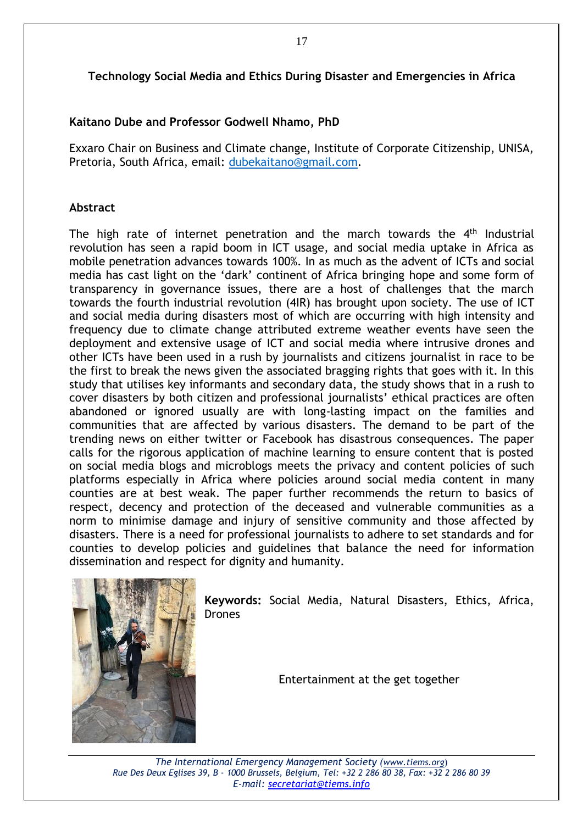## <span id="page-16-0"></span>**Technology Social Media and Ethics During Disaster and Emergencies in Africa**

## **Kaitano Dube and Professor Godwell Nhamo, PhD**

Exxaro Chair on Business and Climate change, Institute of Corporate Citizenship, UNISA, Pretoria, South Africa, email: [dubekaitano@gmail.com.](mailto:dubekaitano@gmail.com)

### **Abstract**

The high rate of internet penetration and the march towards the  $4<sup>th</sup>$  Industrial revolution has seen a rapid boom in ICT usage, and social media uptake in Africa as mobile penetration advances towards 100%. In as much as the advent of ICTs and social media has cast light on the 'dark' continent of Africa bringing hope and some form of transparency in governance issues, there are a host of challenges that the march towards the fourth industrial revolution (4IR) has brought upon society. The use of ICT and social media during disasters most of which are occurring with high intensity and frequency due to climate change attributed extreme weather events have seen the deployment and extensive usage of ICT and social media where intrusive drones and other ICTs have been used in a rush by journalists and citizens journalist in race to be the first to break the news given the associated bragging rights that goes with it. In this study that utilises key informants and secondary data, the study shows that in a rush to cover disasters by both citizen and professional journalists' ethical practices are often abandoned or ignored usually are with long-lasting impact on the families and communities that are affected by various disasters. The demand to be part of the trending news on either twitter or Facebook has disastrous consequences. The paper calls for the rigorous application of machine learning to ensure content that is posted on social media blogs and microblogs meets the privacy and content policies of such platforms especially in Africa where policies around social media content in many counties are at best weak. The paper further recommends the return to basics of respect, decency and protection of the deceased and vulnerable communities as a norm to minimise damage and injury of sensitive community and those affected by disasters. There is a need for professional journalists to adhere to set standards and for counties to develop policies and guidelines that balance the need for information dissemination and respect for dignity and humanity.



**Keywords:** Social Media, Natural Disasters, Ethics, Africa, Drones

Entertainment at the get together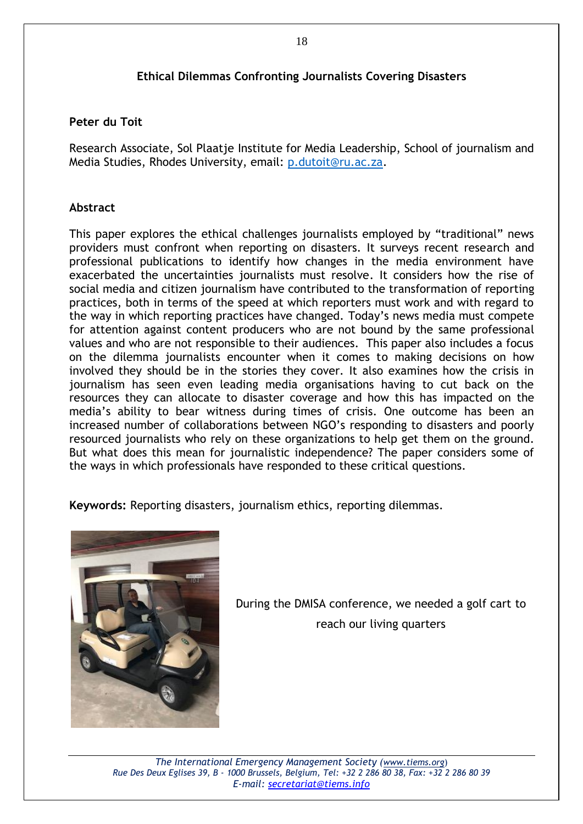## **Ethical Dilemmas Confronting Journalists Covering Disasters**

### <span id="page-17-0"></span>**Peter du Toit**

Research Associate, Sol Plaatje Institute for Media Leadership, School of journalism and Media Studies, Rhodes University, email: [p.dutoit@ru.ac.za.](mailto:p.dutoit@ru.ac.za)

## **Abstract**

This paper explores the ethical challenges journalists employed by "traditional" news providers must confront when reporting on disasters. It surveys recent research and professional publications to identify how changes in the media environment have exacerbated the uncertainties journalists must resolve. It considers how the rise of social media and citizen journalism have contributed to the transformation of reporting practices, both in terms of the speed at which reporters must work and with regard to the way in which reporting practices have changed. Today's news media must compete for attention against content producers who are not bound by the same professional values and who are not responsible to their audiences. This paper also includes a focus on the dilemma journalists encounter when it comes to making decisions on how involved they should be in the stories they cover. It also examines how the crisis in journalism has seen even leading media organisations having to cut back on the resources they can allocate to disaster coverage and how this has impacted on the media's ability to bear witness during times of crisis. One outcome has been an increased number of collaborations between NGO's responding to disasters and poorly resourced journalists who rely on these organizations to help get them on the ground. But what does this mean for journalistic independence? The paper considers some of the ways in which professionals have responded to these critical questions.

**Keywords:** Reporting disasters, journalism ethics, reporting dilemmas.



During the DMISA conference, we needed a golf cart to reach our living quarters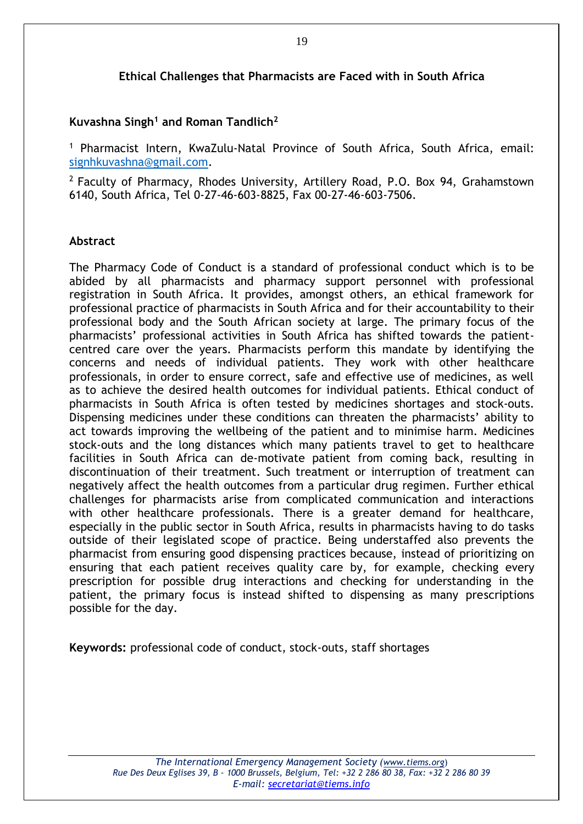## **Ethical Challenges that Pharmacists are Faced with in South Africa**

### <span id="page-18-0"></span>**Kuvashna Singh<sup>1</sup> and Roman Tandlich<sup>2</sup>**

<sup>1</sup> Pharmacist Intern, KwaZulu-Natal Province of South Africa, South Africa, email: [signhkuvashna@gmail.com.](mailto:signhkuvashna@gmail.com)

<sup>2</sup> Faculty of Pharmacy, Rhodes University, Artillery Road, P.O. Box 94, Grahamstown 6140, South Africa, Tel 0-27-46-603-8825, Fax 00-27-46-603-7506.

#### **Abstract**

The Pharmacy Code of Conduct is a standard of professional conduct which is to be abided by all pharmacists and pharmacy support personnel with professional registration in South Africa. It provides, amongst others, an ethical framework for professional practice of pharmacists in South Africa and for their accountability to their professional body and the South African society at large. The primary focus of the pharmacists' professional activities in South Africa has shifted towards the patientcentred care over the years. Pharmacists perform this mandate by identifying the concerns and needs of individual patients. They work with other healthcare professionals, in order to ensure correct, safe and effective use of medicines, as well as to achieve the desired health outcomes for individual patients. Ethical conduct of pharmacists in South Africa is often tested by medicines shortages and stock-outs. Dispensing medicines under these conditions can threaten the pharmacists' ability to act towards improving the wellbeing of the patient and to minimise harm. Medicines stock-outs and the long distances which many patients travel to get to healthcare facilities in South Africa can de-motivate patient from coming back, resulting in discontinuation of their treatment. Such treatment or interruption of treatment can negatively affect the health outcomes from a particular drug regimen. Further ethical challenges for pharmacists arise from complicated communication and interactions with other healthcare professionals. There is a greater demand for healthcare, especially in the public sector in South Africa, results in pharmacists having to do tasks outside of their legislated scope of practice. Being understaffed also prevents the pharmacist from ensuring good dispensing practices because, instead of prioritizing on ensuring that each patient receives quality care by, for example, checking every prescription for possible drug interactions and checking for understanding in the patient, the primary focus is instead shifted to dispensing as many prescriptions possible for the day.

**Keywords:** professional code of conduct, stock-outs, staff shortages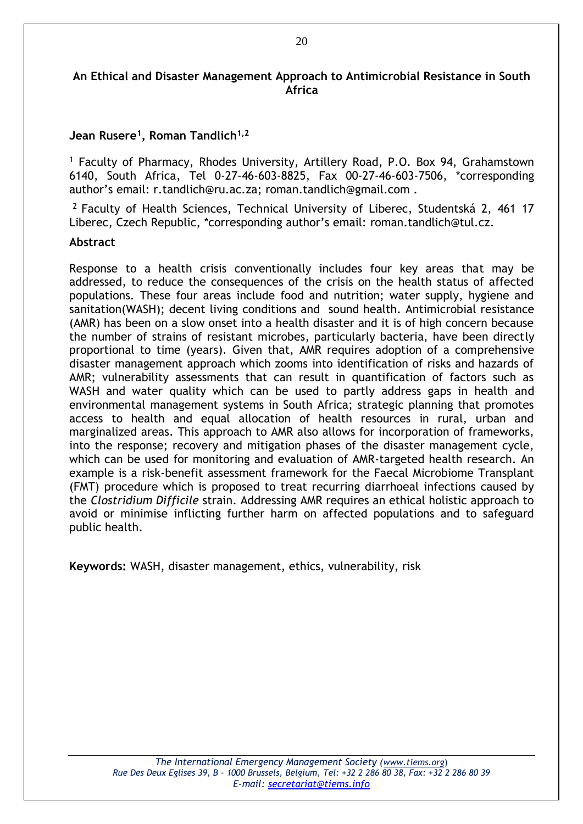#### <span id="page-19-0"></span>**An Ethical and Disaster Management Approach to Antimicrobial Resistance in South Africa**

## **Jean Rusere<sup>1</sup> , Roman Tandlich1,2**

<sup>1</sup> Faculty of Pharmacy, Rhodes University, Artillery Road, P.O. Box 94, Grahamstown 6140, South Africa, Tel 0-27-46-603-8825, Fax 00-27-46-603-7506, \*corresponding author's email: [r.tandlich@ru.ac.za;](mailto:r.tandlich@ru.ac.za) [roman.tandlich@gmail.com](mailto:roman.tandlich@gmail.com) .

<sup>2</sup> Faculty of Health Sciences, Technical University of Liberec, Studentská 2, 461 17 Liberec, Czech Republic, \*corresponding author's email: [roman.tandlich@tul.cz.](mailto:roman.tandlich@tul.cz)

#### **Abstract**

Response to a health crisis conventionally includes four key areas that may be addressed, to reduce the consequences of the crisis on the health status of affected populations. These four areas include food and nutrition; water supply, hygiene and sanitation(WASH); decent living conditions and sound health. Antimicrobial resistance (AMR) has been on a slow onset into a health disaster and it is of high concern because the number of strains of resistant microbes, particularly bacteria, have been directly proportional to time (years). Given that, AMR requires adoption of a comprehensive disaster management approach which zooms into identification of risks and hazards of AMR; vulnerability assessments that can result in quantification of factors such as WASH and water quality which can be used to partly address gaps in health and environmental management systems in South Africa; strategic planning that promotes access to health and equal allocation of health resources in rural, urban and marginalized areas. This approach to AMR also allows for incorporation of frameworks, into the response; recovery and mitigation phases of the disaster management cycle, which can be used for monitoring and evaluation of AMR-targeted health research. An example is a risk-benefit assessment framework for the Faecal Microbiome Transplant (FMT) procedure which is proposed to treat recurring diarrhoeal infections caused by the *Clostridium Difficile* strain. Addressing AMR requires an ethical holistic approach to avoid or minimise inflicting further harm on affected populations and to safeguard public health.

**Keywords:** WASH, disaster management, ethics, vulnerability, risk